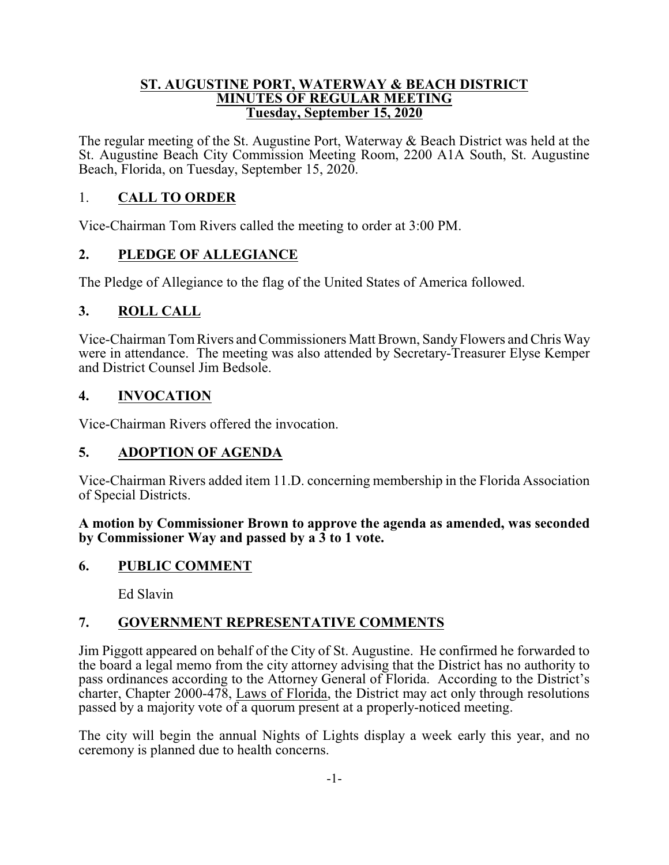#### **ST. AUGUSTINE PORT, WATERWAY & BEACH DISTRICT MINUTES OF REGULAR MEETING Tuesday, September 15, 2020**

The regular meeting of the St. Augustine Port, Waterway & Beach District was held at the St. Augustine Beach City Commission Meeting Room, 2200 A1A South, St. Augustine Beach, Florida, on Tuesday, September 15, 2020.

## 1. **CALL TO ORDER**

Vice-Chairman Tom Rivers called the meeting to order at 3:00 PM.

## **2. PLEDGE OF ALLEGIANCE**

The Pledge of Allegiance to the flag of the United States of America followed.

## **3. ROLL CALL**

Vice-Chairman Tom Rivers and Commissioners Matt Brown, Sandy Flowers and Chris Way were in attendance. The meeting was also attended by Secretary-Treasurer Elyse Kemper and District Counsel Jim Bedsole.

## **4. INVOCATION**

Vice-Chairman Rivers offered the invocation.

## **5. ADOPTION OF AGENDA**

Vice-Chairman Rivers added item 11.D. concerning membership in the Florida Association of Special Districts.

**A motion by Commissioner Brown to approve the agenda as amended, was seconded by Commissioner Way and passed by a 3 to 1 vote.**

## **6. PUBLIC COMMENT**

Ed Slavin

## **7. GOVERNMENT REPRESENTATIVE COMMENTS**

Jim Piggott appeared on behalf of the City of St. Augustine. He confirmed he forwarded to the board a legal memo from the city attorney advising that the District has no authority to pass ordinances according to the Attorney General of Florida. According to the District's charter, Chapter 2000-478, Laws of Florida, the District may act only through resolutions passed by a majority vote of a quorum present at a properly-noticed meeting.

The city will begin the annual Nights of Lights display a week early this year, and no ceremony is planned due to health concerns.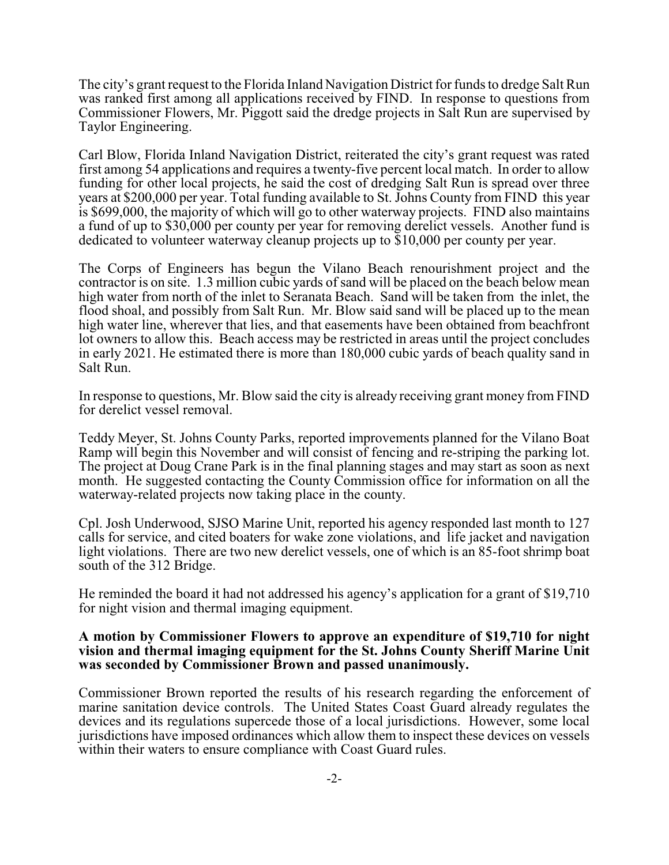The city's grant request to the Florida Inland Navigation District for funds to dredge Salt Run was ranked first among all applications received by FIND. In response to questions from Commissioner Flowers, Mr. Piggott said the dredge projects in Salt Run are supervised by Taylor Engineering.

Carl Blow, Florida Inland Navigation District, reiterated the city's grant request was rated first among 54 applications and requires a twenty-five percent local match. In order to allow funding for other local projects, he said the cost of dredging Salt Run is spread over three years at \$200,000 per year. Total funding available to St. Johns County from FIND this year is \$699,000, the majority of which will go to other waterway projects. FIND also maintains a fund of up to \$30,000 per county per year for removing derelict vessels. Another fund is dedicated to volunteer waterway cleanup projects up to \$10,000 per county per year.

The Corps of Engineers has begun the Vilano Beach renourishment project and the contractor is on site. 1.3 million cubic yards of sand will be placed on the beach below mean high water from north of the inlet to Seranata Beach. Sand will be taken from the inlet, the flood shoal, and possibly from Salt Run. Mr. Blow said sand will be placed up to the mean high water line, wherever that lies, and that easements have been obtained from beachfront lot owners to allow this. Beach access may be restricted in areas until the project concludes in early 2021. He estimated there is more than 180,000 cubic yards of beach quality sand in Salt Run.

In response to questions, Mr. Blow said the city is already receiving grant money from FIND for derelict vessel removal.

Teddy Meyer, St. Johns County Parks, reported improvements planned for the Vilano Boat Ramp will begin this November and will consist of fencing and re-striping the parking lot. The project at Doug Crane Park is in the final planning stages and may start as soon as next month. He suggested contacting the County Commission office for information on all the waterway-related projects now taking place in the county.

Cpl. Josh Underwood, SJSO Marine Unit, reported his agency responded last month to 127 calls for service, and cited boaters for wake zone violations, and life jacket and navigation light violations. There are two new derelict vessels, one of which is an 85-foot shrimp boat south of the 312 Bridge.

He reminded the board it had not addressed his agency's application for a grant of \$19,710 for night vision and thermal imaging equipment.

#### **A motion by Commissioner Flowers to approve an expenditure of \$19,710 for night vision and thermal imaging equipment for the St. Johns County Sheriff Marine Unit was seconded by Commissioner Brown and passed unanimously.**

Commissioner Brown reported the results of his research regarding the enforcement of marine sanitation device controls. The United States Coast Guard already regulates the devices and its regulations supercede those of a local jurisdictions. However, some local jurisdictions have imposed ordinances which allow them to inspect these devices on vessels within their waters to ensure compliance with Coast Guard rules.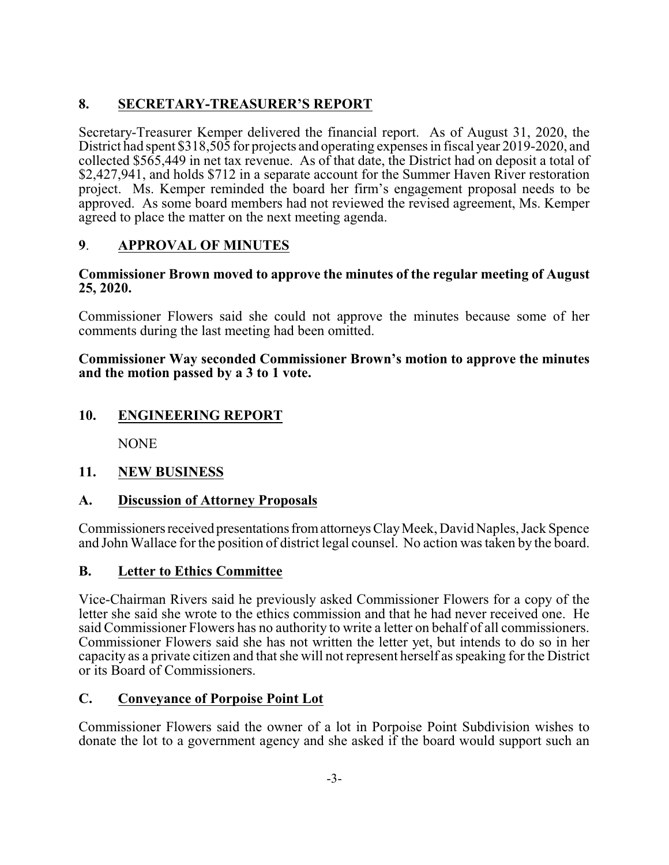## **8. SECRETARY-TREASURER'S REPORT**

Secretary-Treasurer Kemper delivered the financial report. As of August 31, 2020, the District had spent \$318,505 for projects and operating expenses in fiscal year 2019-2020, and collected \$565,449 in net tax revenue. As of that date, the District had on deposit a total of \$2,427,941, and holds \$712 in a separate account for the Summer Haven River restoration project. Ms. Kemper reminded the board her firm's engagement proposal needs to be approved. As some board members had not reviewed the revised agreement, Ms. Kemper agreed to place the matter on the next meeting agenda.

# **9**. **APPROVAL OF MINUTES**

#### **Commissioner Brown moved to approve the minutes of the regular meeting of August 25, 2020.**

Commissioner Flowers said she could not approve the minutes because some of her comments during the last meeting had been omitted.

**Commissioner Way seconded Commissioner Brown's motion to approve the minutes and the motion passed by a 3 to 1 vote.**

## **10. ENGINEERING REPORT**

NONE

## **11. NEW BUSINESS**

## **A. Discussion of Attorney Proposals**

Commissioners received presentations from attorneys Clay Meek, David Naples, Jack Spence and John Wallace for the position of district legal counsel. No action was taken by the board.

## **B. Letter to Ethics Committee**

Vice-Chairman Rivers said he previously asked Commissioner Flowers for a copy of the letter she said she wrote to the ethics commission and that he had never received one. He said Commissioner Flowers has no authority to write a letter on behalf of all commissioners. Commissioner Flowers said she has not written the letter yet, but intends to do so in her capacity as a private citizen and that she will not represent herself as speaking for the District or its Board of Commissioners.

## **C. Conveyance of Porpoise Point Lot**

Commissioner Flowers said the owner of a lot in Porpoise Point Subdivision wishes to donate the lot to a government agency and she asked if the board would support such an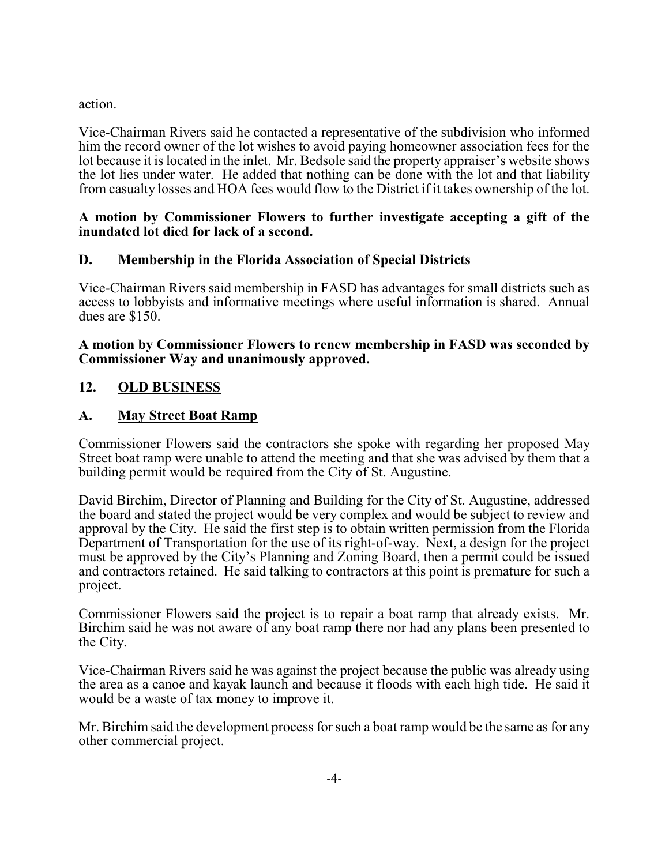action.

Vice-Chairman Rivers said he contacted a representative of the subdivision who informed him the record owner of the lot wishes to avoid paying homeowner association fees for the lot because it is located in the inlet. Mr. Bedsole said the property appraiser's website shows the lot lies under water. He added that nothing can be done with the lot and that liability from casualty losses and HOA fees would flow to the District if it takes ownership of the lot.

#### **A motion by Commissioner Flowers to further investigate accepting a gift of the inundated lot died for lack of a second.**

## **D. Membership in the Florida Association of Special Districts**

Vice-Chairman Rivers said membership in FASD has advantages for small districts such as access to lobbyists and informative meetings where useful information is shared. Annual dues are \$150.

#### **A motion by Commissioner Flowers to renew membership in FASD was seconded by Commissioner Way and unanimously approved.**

# **12. OLD BUSINESS**

## **A. May Street Boat Ramp**

Commissioner Flowers said the contractors she spoke with regarding her proposed May Street boat ramp were unable to attend the meeting and that she was advised by them that a building permit would be required from the City of St. Augustine.

David Birchim, Director of Planning and Building for the City of St. Augustine, addressed the board and stated the project would be very complex and would be subject to review and approval by the City. He said the first step is to obtain written permission from the Florida Department of Transportation for the use of its right-of-way. Next, a design for the project must be approved by the City's Planning and Zoning Board, then a permit could be issued and contractors retained. He said talking to contractors at this point is premature for such a project.

Commissioner Flowers said the project is to repair a boat ramp that already exists. Mr. Birchim said he was not aware of any boat ramp there nor had any plans been presented to the City.

Vice-Chairman Rivers said he was against the project because the public was already using the area as a canoe and kayak launch and because it floods with each high tide. He said it would be a waste of tax money to improve it.

Mr. Birchim said the development process for such a boat ramp would be the same as for any other commercial project.